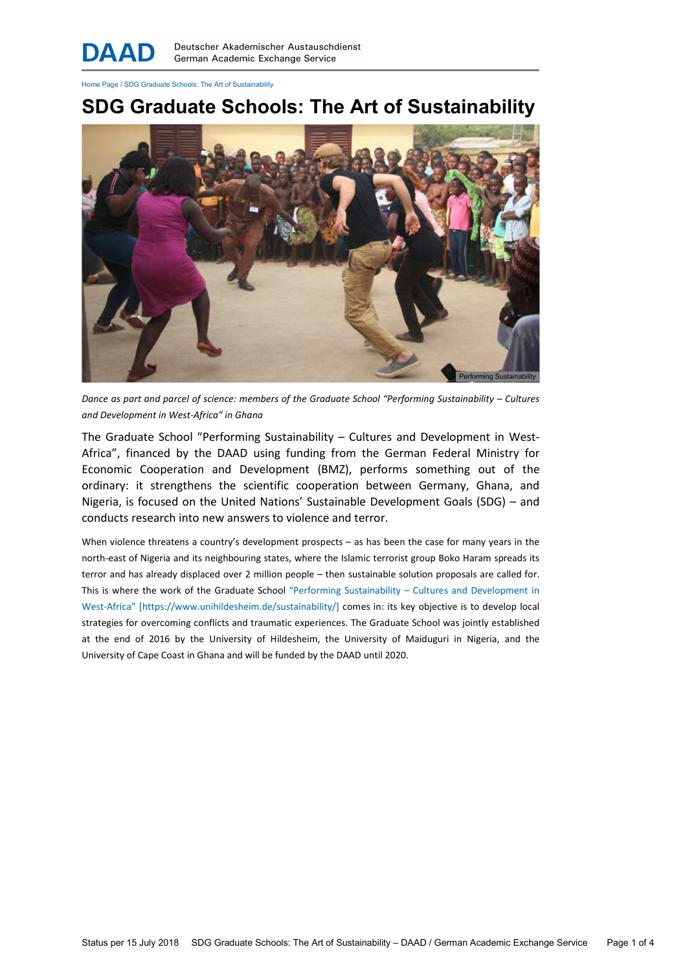Home Page / SDG Graduate Schools: The Art of Sustainability

## SDG Graduate Schools: The Art of Sustainability



Dance as part and parcel of science: members of the Graduate School "Performing Sustainability – Cultures and Development in West-Africa" in Ghana

The Graduate School "Performing Sustainability – Cultures and Development in West-Africa", financed by the DAAD using funding from the German Federal Ministry for Economic Cooperation and Development (BMZ), performs something out of the ordinary: it strengthens the scientific cooperation between Germany, Ghana, and Nigeria, is focused on the United Nations' Sustainable Development Goals (SDG) – and conducts research into new answers to violence and terror.

When violence threatens a country's development prospects – as has been the case for many years in the north-east of Nigeria and its neighbouring states, where the Islamic terrorist group Boko Haram spreads its terror and has already displaced over 2 million people – then sustainable solution proposals are called for. This is where the work of the Graduate School "Performing Sustainability – Cultures and Development in West-Africa" [https://www.unihildesheim.de/sustainability/] comes in: its key objective is to develop local strategies for overcoming conflicts and traumatic experiences. The Graduate School was jointly established at the end of 2016 by the University of Hildesheim, the University of Maiduguri in Nigeria, and the University of Cape Coast in Ghana and will be funded by the DAAD until 2020.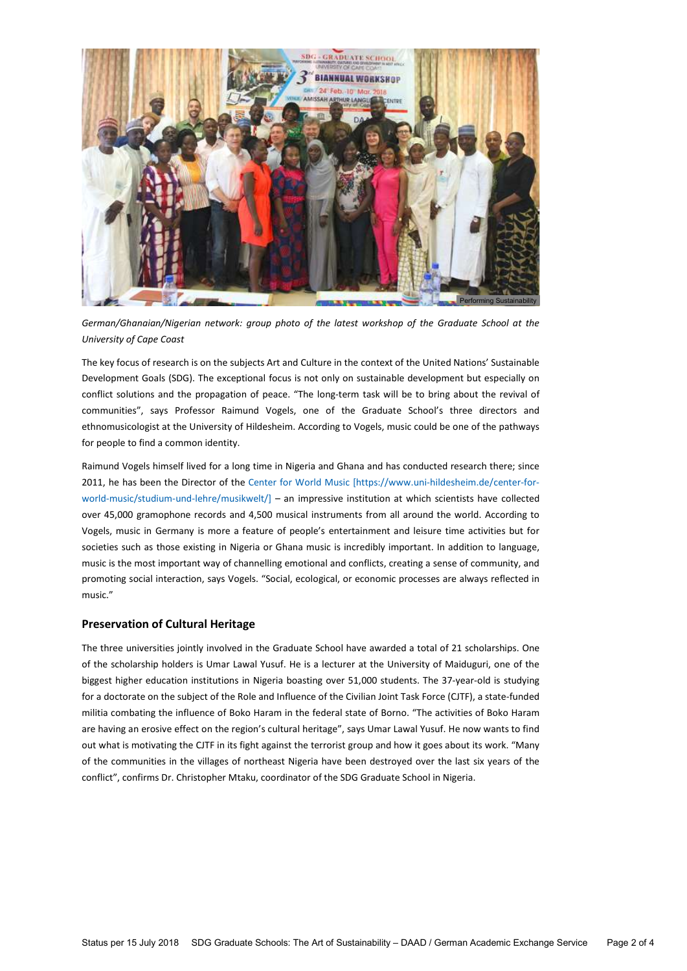

German/Ghanaian/Nigerian network: group photo of the latest workshop of the Graduate School at the University of Cape Coast

The key focus of research is on the subjects Art and Culture in the context of the United Nations' Sustainable Development Goals (SDG). The exceptional focus is not only on sustainable development but especially on conflict solutions and the propagation of peace. "The long-term task will be to bring about the revival of communities", says Professor Raimund Vogels, one of the Graduate School's three directors and ethnomusicologist at the University of Hildesheim. According to Vogels, music could be one of the pathways for people to find a common identity.

Raimund Vogels himself lived for a long time in Nigeria and Ghana and has conducted research there; since 2011, he has been the Director of the Center for World Music [https://www.uni-hildesheim.de/center-forworld-music/studium-und-lehre/musikwelt/] – an impressive institution at which scientists have collected over 45,000 gramophone records and 4,500 musical instruments from all around the world. According to Vogels, music in Germany is more a feature of people's entertainment and leisure time activities but for societies such as those existing in Nigeria or Ghana music is incredibly important. In addition to language, music is the most important way of channelling emotional and conflicts, creating a sense of community, and promoting social interaction, says Vogels. "Social, ecological, or economic processes are always reflected in music."

## Preservation of Cultural Heritage

The three universities jointly involved in the Graduate School have awarded a total of 21 scholarships. One of the scholarship holders is Umar Lawal Yusuf. He is a lecturer at the University of Maiduguri, one of the biggest higher education institutions in Nigeria boasting over 51,000 students. The 37-year-old is studying for a doctorate on the subject of the Role and Influence of the Civilian Joint Task Force (CJTF), a state-funded militia combating the influence of Boko Haram in the federal state of Borno. "The activities of Boko Haram are having an erosive effect on the region's cultural heritage", says Umar Lawal Yusuf. He now wants to find out what is motivating the CJTF in its fight against the terrorist group and how it goes about its work. "Many of the communities in the villages of northeast Nigeria have been destroyed over the last six years of the conflict", confirms Dr. Christopher Mtaku, coordinator of the SDG Graduate School in Nigeria.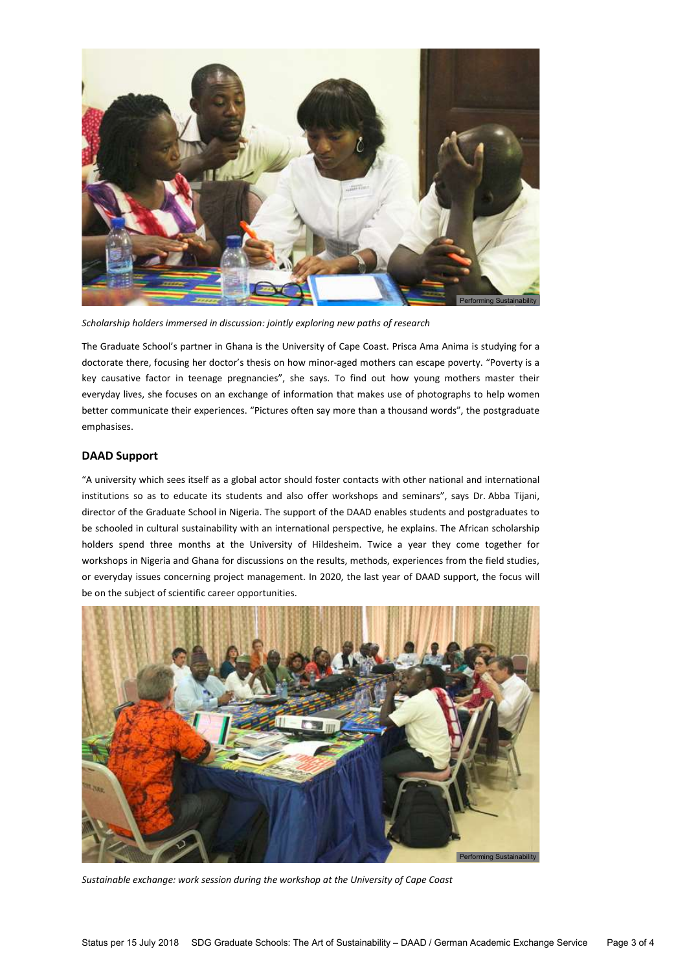

Scholarship holders immersed in discussion: jointly exploring new paths of research

The Graduate School's partner in Ghana is the University of Cape Coast. Prisca Ama Anima is studying for a doctorate there, focusing her doctor's thesis on how minor-aged mothers can escape poverty. "Poverty is a key causative factor in teenage pregnancies", she says. To find out how young mothers master their everyday lives, she focuses on an exchange of information that makes use of photographs to help women better communicate their experiences. "Pictures often say more than a thousand words", the postgraduate emphasises.

## DAAD Support

"A university which sees itself as a global actor should foster contacts with other national and international institutions so as to educate its students and also offer workshops and seminars", says Dr. Abba Tijani, director of the Graduate School in Nigeria. The support of the DAAD enables students and postgraduates to be schooled in cultural sustainability with an international perspective, he explains. The African scholarship holders spend three months at the University of Hildesheim. Twice a year they come together for workshops in Nigeria and Ghana for discussions on the results, methods, experiences from the field studies, or everyday issues concerning project management. In 2020, the last year of DAAD support, the focus will be on the subject of scientific career opportunities.



Sustainable exchange: work session during the workshop at the University of Cape Coast